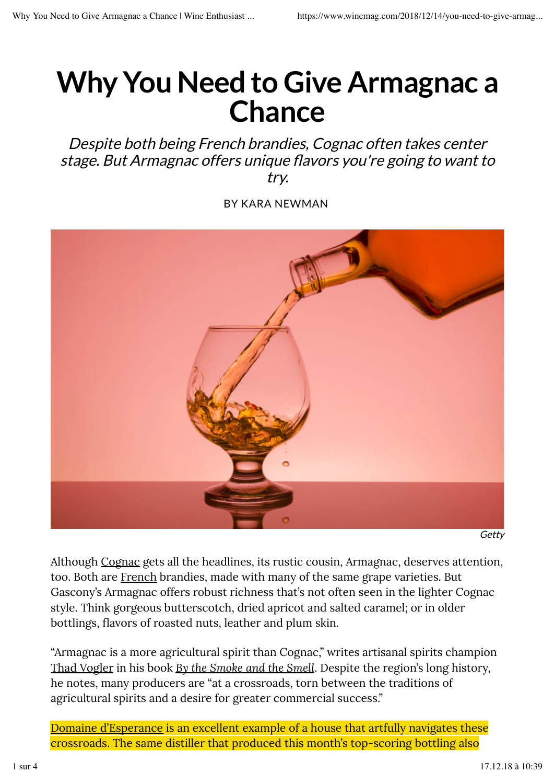# **Why You Need to Give Armagnac a Chance**

Despite both being French brandies, Cognac often takes center stage. But Armagnac offers unique flavors you're going to want to try.

BY KARA NEWMAN



Getty

Although Cognac gets all the headlines, its rustic cousin, Armagnac, deserves attention, too. Both are French brandies, made with many of the same grape varieties. But Gascony's Armagnac offers robust richness that's not often seen in the lighter Cognac style. Think gorgeous butterscotch, dried apricot and salted caramel; or in older bottlings, flavors of roasted nuts, leather and plum skin.

Domaine d'Esperance is an excellent example of a house that artfully navigates these crossroads. The same distiller that produced this month's top-scoring bottling also

"Armagnac is a more agricultural spirit than Cognac," writes artisanal spirits champion Thad Vogler in his book *By the Smoke and the Smell*. Despite the region's long history, he notes, many producers are "at a crossroads, torn between the traditions of agricultural spirits and a desire for greater commercial success."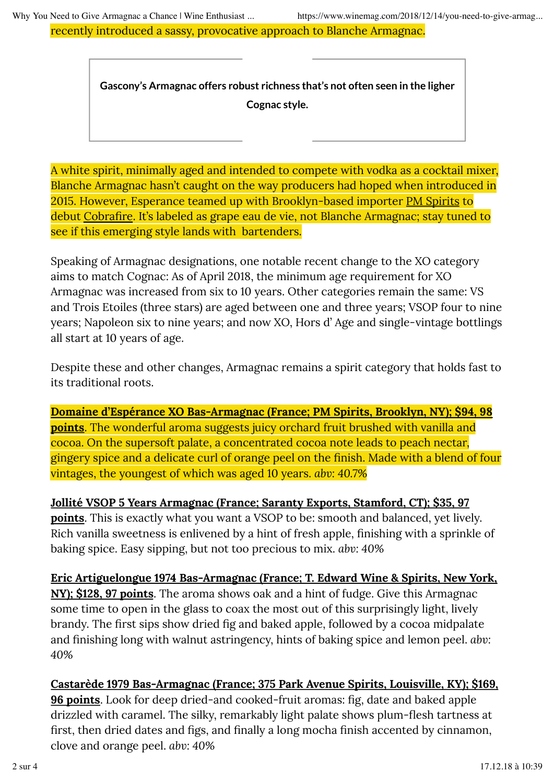recently introduced a sassy, provocative approach to Blanche Armagnac.

A white spirit, minimally aged and intended to compete with vodka as a cocktail mixer, Blanche Armagnac hasn't caught on the way producers had hoped when introduced in 2015. However, Esperance teamed up with Brooklyn-based importer PM Spirits to debut Cobrafire. It's labeled as grape eau de vie, not Blanche Armagnac; stay tuned to see if this emerging style lands with bartenders.

Speaking of Armagnac designations, one notable recent change to the XO category aims to match Cognac: As of April 2018, the minimum age requirement for XO Armagnac was increased from six to 10 years. Other categories remain the same: VS and Trois Etoiles (three stars) are aged between one and three years; VSOP four to nine years; Napoleon six to nine years; and now XO, Hors d' Age and single-vintage bottlings all start at 10 years of age.

Despite these and other changes, Armagnac remains a spirit category that holds fast to its traditional roots.

**Domaine d'Espérance XO Bas-Armagnac (France; PM Spirits, Brooklyn, NY); \$94, 98 points**. The wonderful aroma suggests juicy orchard fruit brushed with vanilla and cocoa. On the supersoft palate, a concentrated cocoa note leads to peach nectar, gingery spice and a delicate curl of orange peel on the finish. Made with a blend of four vintages, the youngest of which was aged 10 years. *abv: 40.7%*

**Jollité VSOP 5 Years Armagnac (France; Saranty Exports, Stamford, CT); \$35, 97 points**. This is exactly what you want a VSOP to be: smooth and balanced, yet lively. Rich vanilla sweetness is enlivened by a hint of fresh apple, finishing with a sprinkle of baking spice. Easy sipping, but not too precious to mix. *abv: 40%*

**Eric Artiguelongue 1974 Bas-Armagnac (France; T. Edward Wine & Spirits, New York, NY); \$128, 97 points**. The aroma shows oak and a hint of fudge. Give this Armagnac some time to open in the glass to coax the most out of this surprisingly light, lively brandy. The first sips show dried fig and baked apple, followed by a cocoa midpalate and finishing long with walnut astringency, hints of baking spice and lemon peel. *abv: 40%*

# **Castarède 1979 Bas-Armagnac (France; 375 Park Avenue Spirits, Louisville, KY); \$169, 96 points**. Look for deep dried-and cooked-fruit aromas: fig, date and baked apple drizzled with caramel. The silky, remarkably light palate shows plum-flesh tartness at first, then dried dates and figs, and finally a long mocha finish accented by cinnamon, clove and orange peel. *abv: 40%*

**Gascony's Armagnac offers robust richness that's not often seen in the ligher Cognac style.**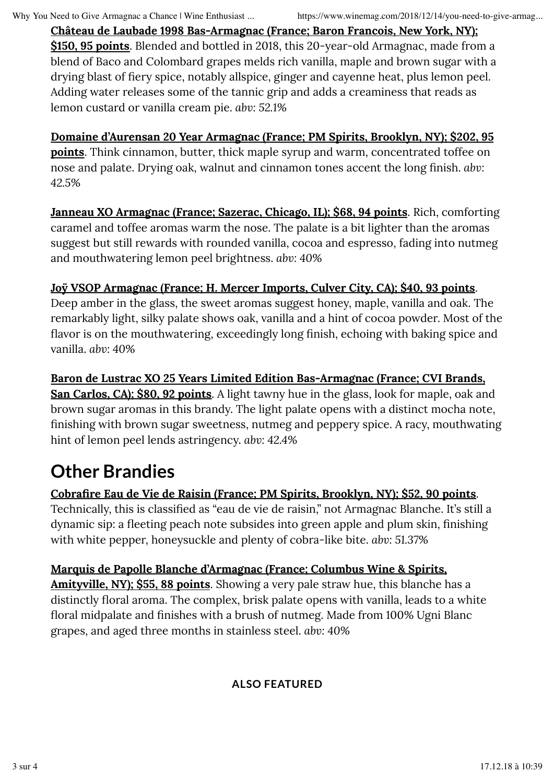**Château de Laubade 1998 Bas-Armagnac (France; Baron Francois, New York, NY); \$150, 95 points**. Blended and bottled in 2018, this 20-year-old Armagnac, made from a blend of Baco and Colombard grapes melds rich vanilla, maple and brown sugar with a drying blast of fiery spice, notably allspice, ginger and cayenne heat, plus lemon peel. Adding water releases some of the tannic grip and adds a creaminess that reads as lemon custard or vanilla cream pie. *abv: 52.1%*

## **Domaine d'Aurensan 20 Year Armagnac (France; PM Spirits, Brooklyn, NY); \$202, 95 points**. Think cinnamon, butter, thick maple syrup and warm, concentrated toffee on nose and palate. Drying oak, walnut and cinnamon tones accent the long finish. *abv: 42.5%*

**Janneau XO Armagnac (France; Sazerac, Chicago, IL); \$68, 94 points**. Rich, comforting caramel and toffee aromas warm the nose. The palate is a bit lighter than the aromas suggest but still rewards with rounded vanilla, cocoa and espresso, fading into nutmeg and mouthwatering lemon peel brightness. *abv: 40%*

# **Joÿ VSOP Armagnac (France; H. Mercer Imports, Culver City, CA); \$40, 93 points**.

Deep amber in the glass, the sweet aromas suggest honey, maple, vanilla and oak. The remarkably light, silky palate shows oak, vanilla and a hint of cocoa powder. Most of the flavor is on the mouthwatering, exceedingly long finish, echoing with baking spice and vanilla. *abv: 40%*

**Baron de Lustrac XO 25 Years Limited Edition Bas-Armagnac (France; CVI Brands, San Carlos, CA); \$80, 92 points**. A light tawny hue in the glass, look for maple, oak and brown sugar aromas in this brandy. The light palate opens with a distinct mocha note, finishing with brown sugar sweetness, nutmeg and peppery spice. A racy, mouthwating hint of lemon peel lends astringency. *abv: 42.4%*

# **Other Brandies**

# **Cobrafire Eau de Vie de Raisin (France; PM Spirits, Brooklyn, NY); \$52, 90 points**. Technically, this is classified as "eau de vie de raisin," not Armagnac Blanche. It's still a dynamic sip: a fleeting peach note subsides into green apple and plum skin, finishing with white pepper, honeysuckle and plenty of cobra-like bite. *abv: 51.37%*

# **Marquis de Papolle Blanche d'Armagnac (France; Columbus Wine & Spirits,**

**Amityville, NY); \$55, 88 points**. Showing a very pale straw hue, this blanche has a

distinctly floral aroma. The complex, brisk palate opens with vanilla, leads to a white floral midpalate and finishes with a brush of nutmeg. Made from 100% Ugni Blanc grapes, and aged three months in stainless steel. *abv: 40%*

### **ALSO FEATURED**